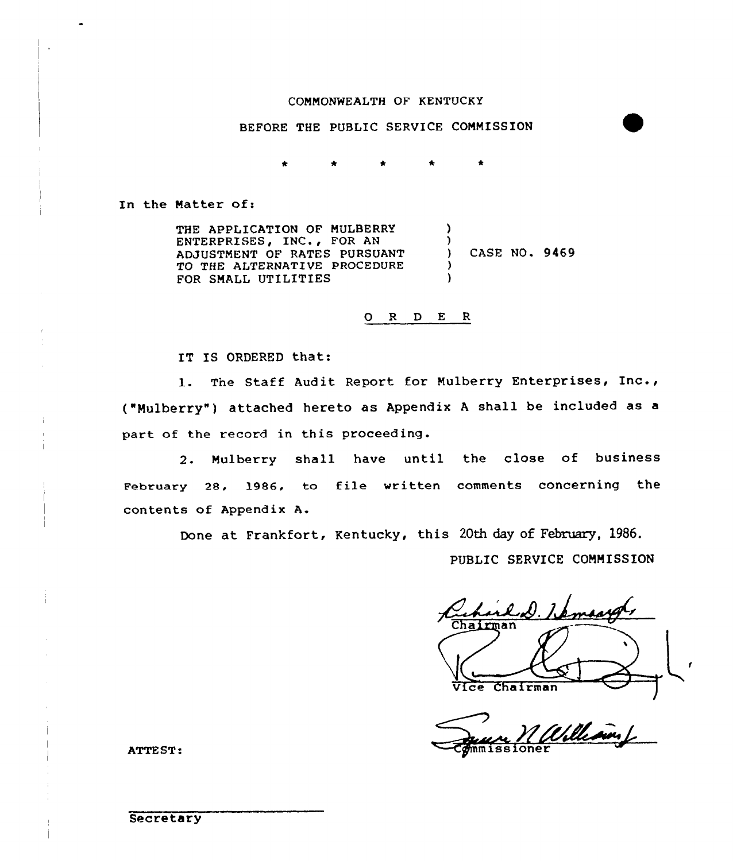## COMMONWEALTH OF KENTUCKY

BEFORE THE PUBLIC SERVICE CONNISSION

In the Natter of:

THE APPLICATION OF MULBERRY ENTERPRISES, INC., FOR AN ADJUSTMENT OF RATES PURSUANT TO THE ALTERNATEVE PROCEDURE FOR SMALL UTILITIES )  $\left\{ \right.$ ) CASE NO. 9469 ) )

0 <sup>R</sup> <sup>D</sup> E <sup>R</sup>

IT IS ORDERED that:

1. The Staff Audit Report for Mulberry Enterprises, Inc., ("Mulberry" ) attached hereto as Appendix <sup>A</sup> shall be included as <sup>a</sup> part of the record in this proceeding.

2. Mulberry shall have until the close of business February 28, 1986, to file written comments concerning the contents of Appendix A.

Done at Frankfort, Kentucky, this 20th day of February, 1986.

PUBLIC SERVICE COMMISSION

Chairman Vice Chairman

ATTEST:

**Secretary**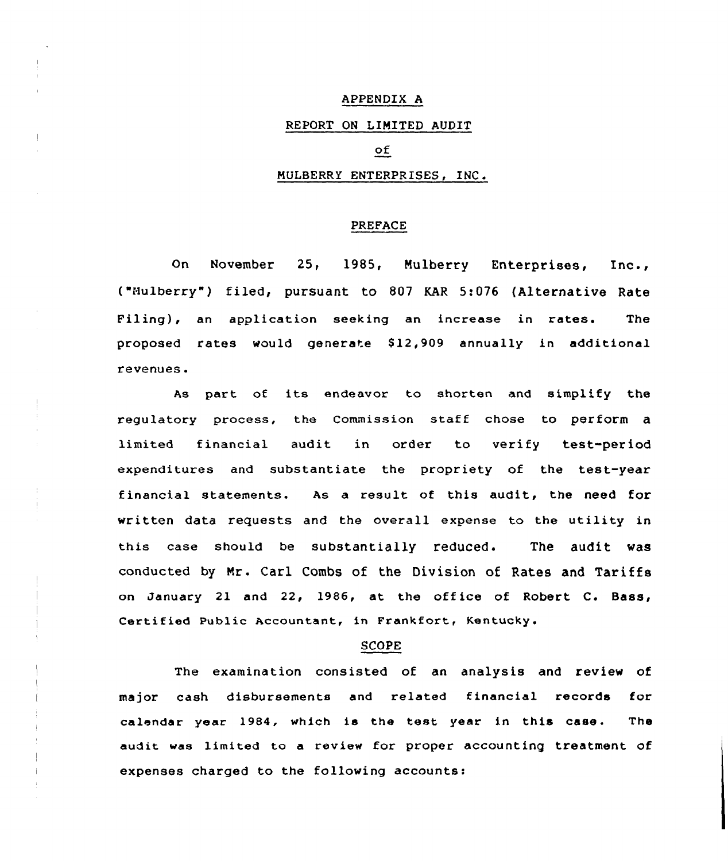## APPENDIX A

# REPORT ON LIMITED AUDIT

## оf

## MULBERRy ENTERPRISES, INC

### PREFACE

On November 25, 1985, Mulberry Enterprises, Inc., ("Mulberry") filed, pursuant to 807 KAR 5:076 (Alternative Rate Filing), an application seeking an increase in rates. The proposed rates would generate 812,909 annually in additional revenues.

As part of its endeavor to shorten and simplify the regulatory process, the Commission staff chose to perform a limited financial audit in order to verify test-period expenditures and substantiate the propriety of the test-year financial statements. As a result of this audit, the need for written data requests and the overall expense to the utility in this case should be substantially reduced. The audit was conducted by Mr. Carl Combs of the Division of Rates and Tariffs on January 21 and 22, 1986, at the office of Robert C. Bass, Certified Public Accountant, in Frankfort, Kentucky.

#### SCOPE

The examination consisted of an analysis and review of major cash disbursements and related financial records for calendar year 1984, which is the test year in this case. The audit was limited to a review for proper accounting treatment of expenses charged to the following accounts: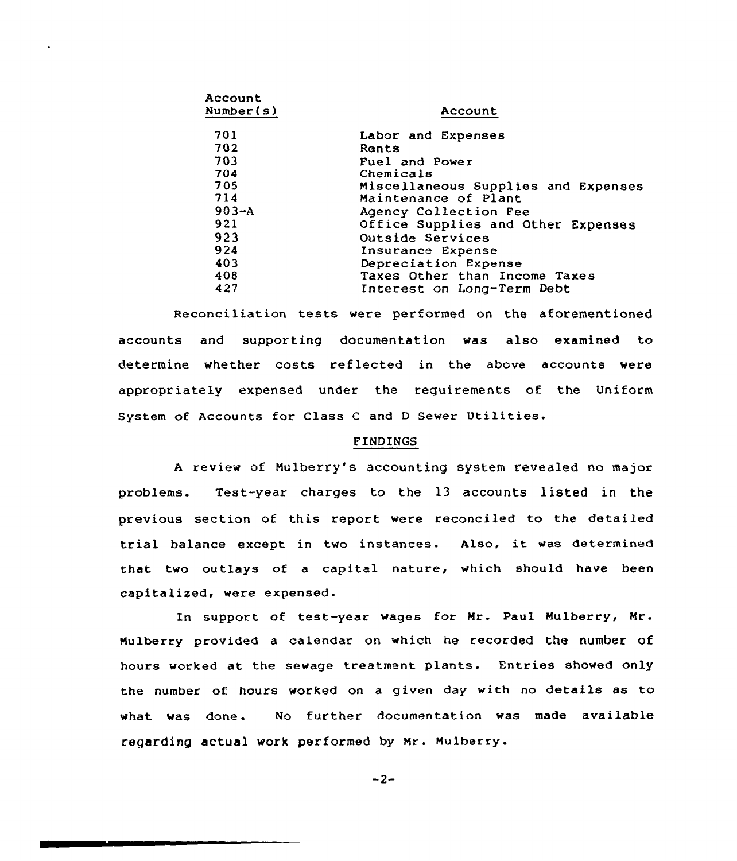| Account<br><b>Number(s)</b> | Account                             |  |  |  |  |
|-----------------------------|-------------------------------------|--|--|--|--|
| 701                         | Labor and Expenses                  |  |  |  |  |
| 702                         | Rents                               |  |  |  |  |
| 703                         | Fuel and Power                      |  |  |  |  |
| 704                         | Chemicals                           |  |  |  |  |
| 705                         | Miscellaneous Supplies and Expenses |  |  |  |  |
| 714                         | Maintenance of Plant                |  |  |  |  |
| $903 - A$                   | Agency Collection Fee               |  |  |  |  |
| 921                         | Office Supplies and Other Expenses  |  |  |  |  |
| 923                         | Outside Services                    |  |  |  |  |
| 924                         | Insurance Expense                   |  |  |  |  |
| 403                         | Depreciation Expense                |  |  |  |  |
| 408                         | Taxes Other than Income Taxes       |  |  |  |  |
| 427                         | Interest on Long-Term Debt          |  |  |  |  |
|                             |                                     |  |  |  |  |

Reconciliation tests were performed on the aforementioned accounts and supporting documentation was also examined to determine whether costs reflected in the above accounts were appropriately expensed undex the requirements of the Uniform System of Accounts for Class C and D Sewer Utilities.

## FINDINGS

<sup>A</sup> xeview of Mulberry's accounting system revealed no major problems. Test-year charges to the l3 accounts listed in the previous section of this report wexe reconciled to the detailed trial balance except in two instances. Also, it was detexmined that two outlays of a capital nature, which should have been capitalized, were expensed.

In support of test-year wages for Mr. Paul Mulberry, Mr. Mulberry provided a calendar on which he recorded the number of hours worked at the sewage treatment plants. Entries showed only the number of. hours worked on a given day with no details as to what was done. No further documentation was made available regarding actual work performed by Mr. Mulberry.

 $-2-$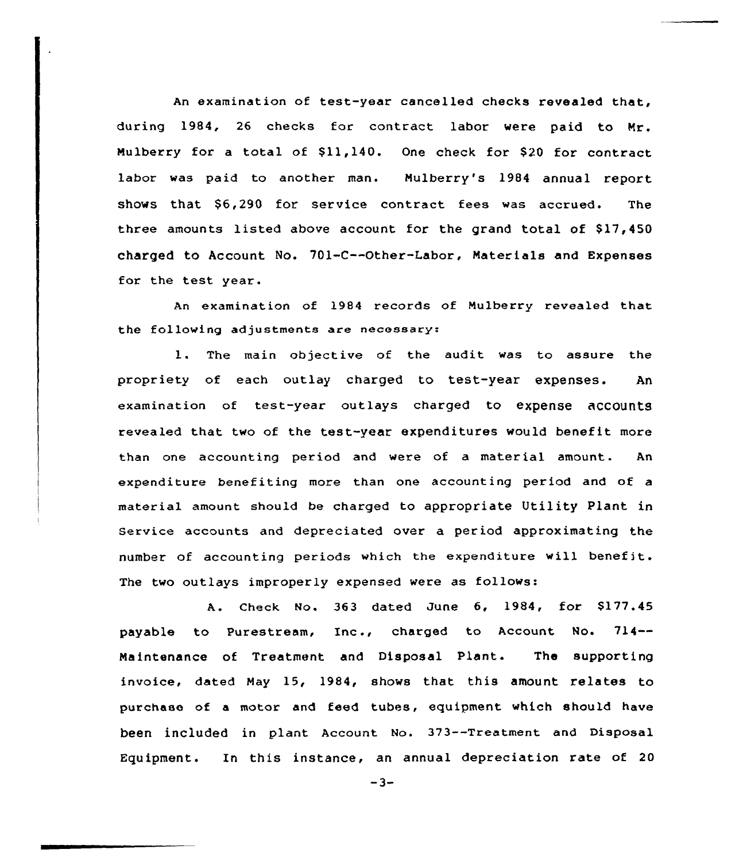An examination of test-year cancelled checks revealed that, during 1984, 26 checks for contract labor were paid to Mr. Mulberry for a total of \$11,140. One check for \$20 for contract labor was paid to another man. Mulberry's 1984 annual report shows that  $$6.290$  for service contract fees was accrued. The three amounts listed above account for the grand total of  $$17,450$ charged to Account No. 701-C--Other-Labor, Materials and Expenses for the test year.

An examination of 1984 records of Mulberry revealed that the following adjustments are necessary:

1. The main objective of the audit was to assure the propriety of each outlay charged to test-year expenses. An examination of test-year outlays charged to expense accounts revealed that two of the test-year expenditures would benefit more than one accounting period and were of a material amount. An expenditure benefiting more than one accounting period and of a material amount should be charged to appropriate Utility Plant in Service accounts and depreciated over a period approximating the number of accounting periods which the expenditure will benefit. The two outlays improperly expensed were as follows:

A. Check No. 363 dated June 6, 1984, for \$177.45 payable to Purestream, Inc., charged to Account No. 714-- Maintenance of Treatment and Disposal Plant. The supporting invoice, dated May 15, 1984, shows that this amount relates to purchase of a motor and feed tubes, equipment which should have been included in plant Account No. 373--Treatment and Disposal Equipment. In this instance, an annual depreciation rate of 20

 $-3-$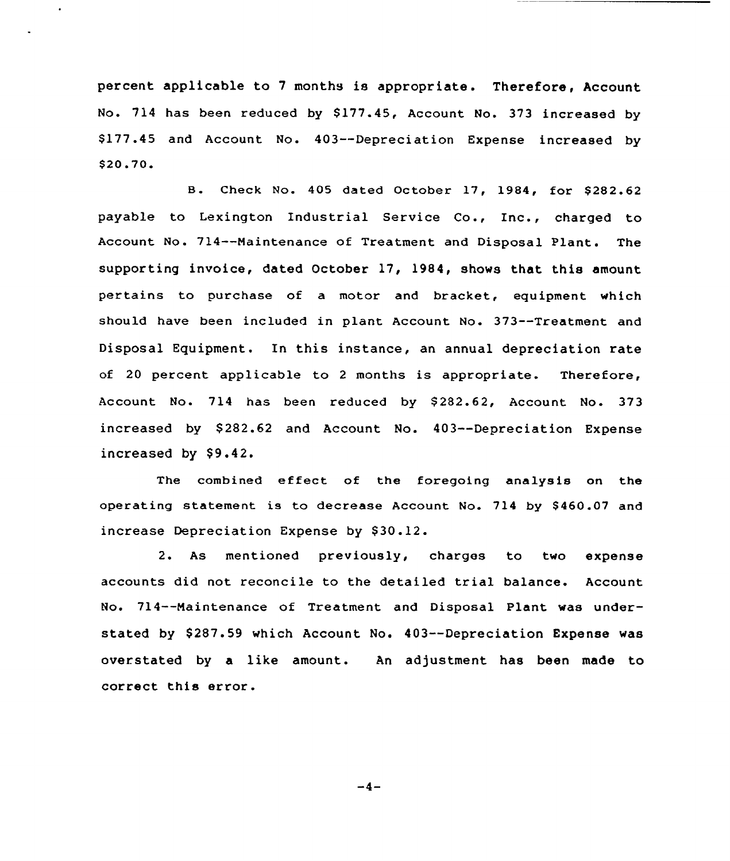percent applicable to <sup>7</sup> months is appropriate. Therefore, Account No. 714 has been reduced by \$177.45, Account No. 373 increased by \$ 177.45 and Account No. 403--Depreciation Expense increased by \$ 20,70

B. Check No. 405 dated October 17, 1984, for \$282.62 payable to Lexington Industrial Service Co., Inc., charged to Account No. 714--Maintenance of Treatment and Disposal Plant. The supporting invoice, dated October 17, 1984, shows that this amount pertains to purchase of a motor and bracket, equipment which should have been included in plant Account No. 373--Treatment and Disposal Equipment. In this instance, an annual depreciation rate of 20 percent applicable to <sup>2</sup> months is appropriate. Therefore, Account No. 714 has been reduced by \$282.62, Account No. 373 increased by \$282.62 and Account No. 403--Depreciation Expense increased by  $$9.42.$ 

The combined effect of the foregoing analysis on the operating statement is to decrease Account No. 714 by \$460.07 and increase Depreciation Expense by \$30.12.

2. As mentioned previously, charges to two expense accounts did not reconcile to the detailed trial balance. Account No. 714--Maintenance of Treatment and Disposal Plant was understated by \$287.59 which Account No. 403--Depreciation Expense was overstated by a like amount. An adjustment has been made to correct this error.

 $-4-$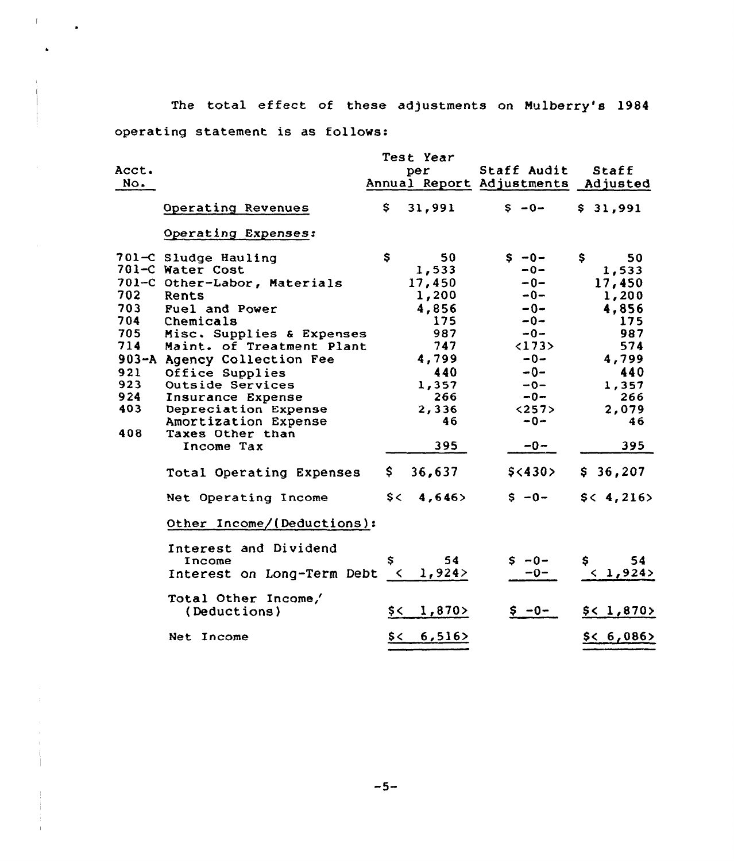The total effect of these adjustments on Mulberry's 1984 operating statement is as follows:

 $\mathbf{L}$ 

 $\mathcal{L}^{\pm}$ 

 $\ddot{\phantom{a}}$ 

|                                                             |                                                                                                                                                                                                                                                                                                                       |                     | Test Year                                                                                                   |                                                                                                                              |                                                                                                                   |
|-------------------------------------------------------------|-----------------------------------------------------------------------------------------------------------------------------------------------------------------------------------------------------------------------------------------------------------------------------------------------------------------------|---------------------|-------------------------------------------------------------------------------------------------------------|------------------------------------------------------------------------------------------------------------------------------|-------------------------------------------------------------------------------------------------------------------|
| Acct.<br>No.                                                |                                                                                                                                                                                                                                                                                                                       |                     | per                                                                                                         | Staff Audit<br>Annual Report Adjustments Adjusted                                                                            | Staff                                                                                                             |
|                                                             | Operating Revenues                                                                                                                                                                                                                                                                                                    | S.                  | 31,991                                                                                                      | $S - 0 -$                                                                                                                    | \$31,991                                                                                                          |
|                                                             | Operating Expenses:                                                                                                                                                                                                                                                                                                   |                     |                                                                                                             |                                                                                                                              |                                                                                                                   |
| 702<br>703<br>704<br>705<br>714<br>921<br>923<br>924<br>403 | 701-C Sludge Hauling<br>701-C Water Cost<br>701-C Other-Labor, Materials<br>Rents<br>Fuel and Power<br>Chemicals<br>Misc. Supplies & Expenses<br>Maint. of Treatment Plant<br>903-A Agency Collection Fee<br>Office Supplies<br>Outside Services<br>Insurance Expense<br>Depreciation Expense<br>Amortization Expense | $\mathsf{s}$        | 50<br>1,533<br>17,450<br>1,200<br>4,856<br>175<br>987<br>747<br>4,799<br>440<br>1,357<br>266<br>2,336<br>46 | $S - 0 -$<br>$-0-$<br>$-0-$<br>$-0-$<br>$-0-$<br>$-0-$<br>$-0-$<br><173<br>$-0-$<br>$-0-$<br>$-0-$<br>$-0-$<br><257<br>$-0-$ | \$<br>50<br>1,533<br>17,450<br>1,200<br>4,856<br>175<br>987<br>574<br>4,799<br>440<br>1,357<br>266<br>2,079<br>46 |
| 408                                                         | Taxes Other than<br>Income Tax                                                                                                                                                                                                                                                                                        |                     | 395                                                                                                         | $-0-$                                                                                                                        | 395                                                                                                               |
|                                                             | Total Operating Expenses                                                                                                                                                                                                                                                                                              | \$.                 | 36,637                                                                                                      | \$<430>                                                                                                                      | \$36,207                                                                                                          |
|                                                             | Net Operating Income                                                                                                                                                                                                                                                                                                  | $s$ $\leftarrow$    | 4,646                                                                                                       | $S - 0 -$                                                                                                                    | \$< 4, 216>                                                                                                       |
|                                                             | Other Income/(Deductions):                                                                                                                                                                                                                                                                                            |                     |                                                                                                             |                                                                                                                              |                                                                                                                   |
|                                                             | Interest and Dividend<br>Income<br>Interest on Long-Term Debt                                                                                                                                                                                                                                                         | \$<br>$\sim$ $\sim$ | 54<br>1,924                                                                                                 | $S - 0 -$<br>$-0-$                                                                                                           | 54<br>\$<br>< 1,924>                                                                                              |
|                                                             | Total Other Income/<br>(Deductions)                                                                                                                                                                                                                                                                                   | $\zeta$             | 1,870                                                                                                       | $$ -0-$                                                                                                                      | \$<1,870>                                                                                                         |
|                                                             | Net Income                                                                                                                                                                                                                                                                                                            | \$<                 | 6,516                                                                                                       |                                                                                                                              | \$< 6,086>                                                                                                        |